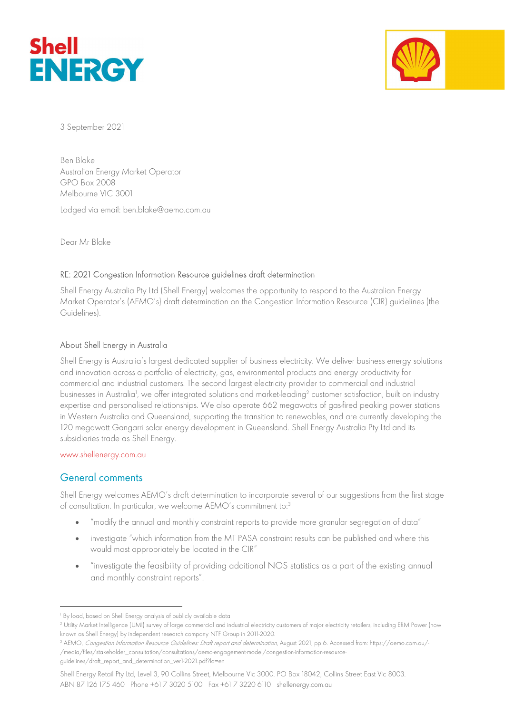



3 September 2021

Ben Blake Australian Energy Market Operator GPO Box 2008 Melbourne VIC 3001

Lodged via email: ben.blake@aemo.com.au

Dear Mr Blake

### RE: 2021 Congestion Information Resource guidelines draft determination

Shell Energy Australia Pty Ltd (Shell Energy) welcomes the opportunity to respond to the Australian Energy Market Operator's (AEMO's) draft determination on the Congestion Information Resource (CIR) guidelines (the Guidelines).

### About Shell Energy in Australia

Shell Energy is Australia's largest dedicated supplier of business electricity. We deliver business energy solutions and innovation across a portfolio of electricity, gas, environmental products and energy productivity for commercial and industrial customers. The second largest electricity provider to commercial and industrial businesses in Australia<sup>1</sup>, we offer integrated solutions and market-leading<sup>2</sup> customer satisfaction, built on industry expertise and personalised relationships. We also operate 662 megawatts of gas-fired peaking power stations in Western Australia and Queensland, supporting the transition to renewables, and are currently developing the 120 megawatt Gangarri solar energy development in Queensland. Shell Energy Australia Pty Ltd and its subsidiaries trade as Shell Energy.

#### www.shellenergy.com.au

## General comments

Shell Energy welcomes AEMO's draft determination to incorporate several of our suggestions from the first stage of consultation. In particular, we welcome AEMO's commitment to:<sup>3</sup>

- "modify the annual and monthly constraint reports to provide more granular segregation of data"
- investigate "which information from the MT PASA constraint results can be published and where this would most appropriately be located in the CIR"
- "investigate the feasibility of providing additional NOS statistics as a part of the existing annual and monthly constraint reports".

Shell Energy Retail Pty Ltd, Level 3, 90 Collins Street, Melbourne Vic 3000. PO Box 18042, Collins Street East Vic 8003. ABN 87 126 175 460 Phone +61 7 3020 5100 Fax +61 7 3220 6110 shellenergy.com.au

<sup>1</sup> By load, based on Shell Energy analysis of publicly available data

<sup>2</sup> Utility Market Intelligence (UMI) survey of large commercial and industrial electricity customers of major electricity retailers, including ERM Power (now known as Shell Energy) by independent research company NTF Group in 2011-2020.

<sup>&</sup>lt;sup>3</sup> AEMO, *Congestion Information Resource Guidelines: Draft report and determination*, August 2021, pp 6. Accessed from: https://aemo.com.au/-/media/files/stakeholder\_consultation/consultations/aemo-engagement-model/congestion-information-resource-

guidelines/draft\_report\_and\_determination\_ver1-2021.pdf?la=en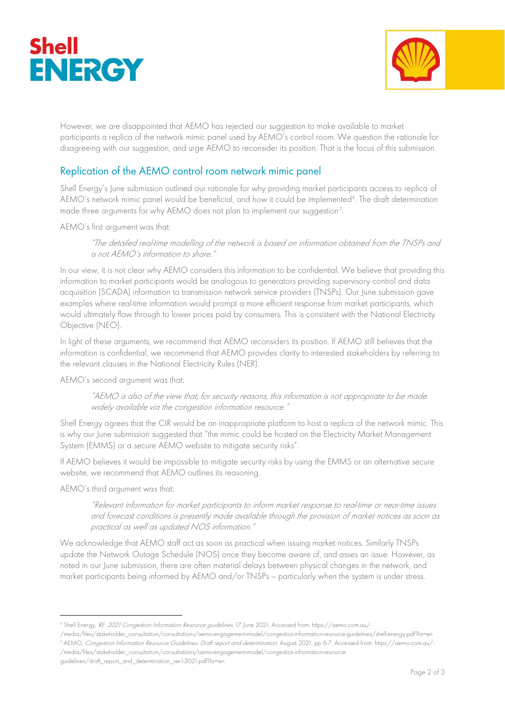



However, we are disappointed that AEMO has rejected our suggestion to make available to market participants a replica of the network mimic panel used by AEMO's control room. We question the rationale for disagreeing with our suggestion, and urge AEMO to reconsider its position. That is the focus of this submission.

# Replication of the AEMO control room network mimic panel

Shell Energy's June submission outlined our rationale for why providing market participants access to replica of AEMO's network mimic panel would be beneficial, and how it could be implemented<sup>4</sup> . The draft determination made three arguments for why AEMO does not plan to implement our suggestion<sup>5</sup>.

AEMO's first argument was that:

"The detailed real-time modelling of the network is based on information obtained from the TNSPs and is not AEMO's information to share."

In our view, it is not clear why AEMO considers this information to be confidential. We believe that providing this information to market participants would be analogous to generators providing supervisory control and data acquisition (SCADA) information to transmission network service providers (TNSPs). Our June submission gave examples where real-time information would prompt a more efficient response from market participants, which would ultimately flow through to lower prices paid by consumers. This is consistent with the National Electricity Objective (NEO).

In light of these arguments, we recommend that AEMO reconsiders its position. If AEMO still believes that the information is confidential, we recommend that AEMO provides clarity to interested stakeholders by referring to the relevant clauses in the National Electricity Rules (NER).

AEMO's second argument was that:

"AEMO is also of the view that, for security reasons, this information is not appropriate to be made widely available via the congestion information resource."

Shell Energy agrees that the CIR would be an inappropriate platform to host a replica of the network mimic. This is why our June submission suggested that "the mimic could be hosted on the Electricity Market Management System (EMMS) or a secure AEMO website to mitigate security risks".

If AEMO believes it would be impossible to mitigate security risks by using the EMMS or an alternative secure website, we recommend that AEMO outlines its reasoning.

AEMO's third argument was that:

"Relevant information for market participants to inform market response to real-time or near-time issues and forecast conditions is presently made available through the provision of market notices as soon as practical as well as updated NOS information."

We acknowledge that AEMO staff act as soon as practical when issuing market notices. Similarly TNSPs update the Network Outage Schedule (NOS) once they become aware of, and asses an issue. However, as noted in our June submission, there are often material delays between physical changes in the network, and market participants being informed by AEMO and/or TNSPs — particularly when the system is under stress.

/media/files/stakeholder\_consultation/consultations/aemo-engagement-model/congestion-information-resource-guidelines/shell-energy.pdf?la=en <sup>5</sup> AEMO, *Congestion Information Resource Guidelines: Draft report and determination*, August 2021, pp 6-7. Accessed from: https://aemo.com.au/-

<sup>4</sup> Shell Energy, RE: 2021 Congestion Information Resource guidelines, 17 June 2021. Accessed from: https://aemo.com.au/-

<sup>/</sup>media/files/stakeholder\_consultation/consultations/aemo-engagement-model/congestion-information-resourceguidelines/draft\_report\_and\_determination\_ver1-2021.pdf?la=en